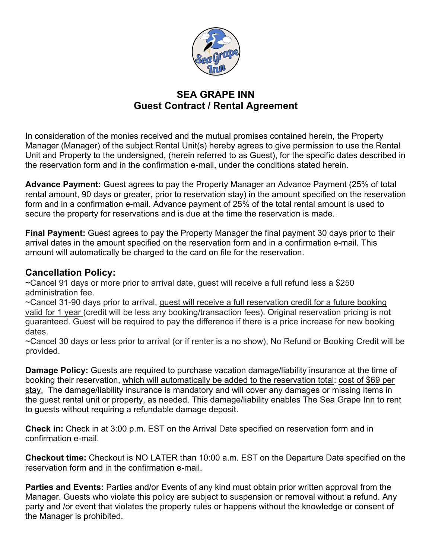

## **SEA GRAPE INN Guest Contract / Rental Agreement**

In consideration of the monies received and the mutual promises contained herein, the Property Manager (Manager) of the subject Rental Unit(s) hereby agrees to give permission to use the Rental Unit and Property to the undersigned, (herein referred to as Guest), for the specific dates described in the reservation form and in the confirmation e-mail, under the conditions stated herein.

**Advance Payment:** Guest agrees to pay the Property Manager an Advance Payment (25% of total rental amount, 90 days or greater, prior to reservation stay) in the amount specified on the reservation form and in a confirmation e-mail. Advance payment of 25% of the total rental amount is used to secure the property for reservations and is due at the time the reservation is made.

**Final Payment:** Guest agrees to pay the Property Manager the final payment 30 days prior to their arrival dates in the amount specified on the reservation form and in a confirmation e-mail. This amount will automatically be charged to the card on file for the reservation.

## **Cancellation Policy:**

~Cancel 91 days or more prior to arrival date, guest will receive a full refund less a \$250 administration fee.

~Cancel 31-90 days prior to arrival, guest will receive a full reservation credit for a future booking valid for 1 year (credit will be less any booking/transaction fees). Original reservation pricing is not guaranteed. Guest will be required to pay the difference if there is a price increase for new booking dates.

~Cancel 30 days or less prior to arrival (or if renter is a no show), No Refund or Booking Credit will be provided.

**Damage Policy:** Guests are required to purchase vacation damage/liability insurance at the time of booking their reservation, which will automatically be added to the reservation total: cost of \$69 per stay. The damage/liability insurance is mandatory and will cover any damages or missing items in the guest rental unit or property, as needed. This damage/liability enables The Sea Grape Inn to rent to guests without requiring a refundable damage deposit.

**Check in:** Check in at 3:00 p.m. EST on the Arrival Date specified on reservation form and in confirmation e-mail.

**Checkout time:** Checkout is NO LATER than 10:00 a.m. EST on the Departure Date specified on the reservation form and in the confirmation e-mail.

**Parties and Events:** Parties and/or Events of any kind must obtain prior written approval from the Manager. Guests who violate this policy are subject to suspension or removal without a refund. Any party and /or event that violates the property rules or happens without the knowledge or consent of the Manager is prohibited.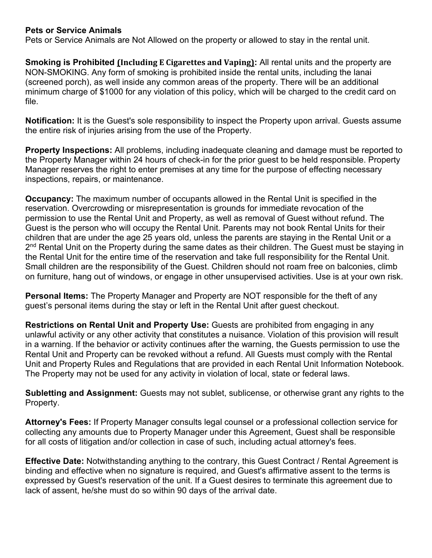## **Pets or Service Animals**

Pets or Service Animals are Not Allowed on the property or allowed to stay in the rental unit.

**Smoking is Prohibited (Including E Cigarettes and Vaping): All rental units and the property are** NON-SMOKING. Any form of smoking is prohibited inside the rental units, including the lanai (screened porch), as well inside any common areas of the property. There will be an additional minimum charge of \$1000 for any violation of this policy, which will be charged to the credit card on file.

**Notification:** It is the Guest's sole responsibility to inspect the Property upon arrival. Guests assume the entire risk of injuries arising from the use of the Property.

**Property Inspections:** All problems, including inadequate cleaning and damage must be reported to the Property Manager within 24 hours of check-in for the prior guest to be held responsible. Property Manager reserves the right to enter premises at any time for the purpose of effecting necessary inspections, repairs, or maintenance.

**Occupancy:** The maximum number of occupants allowed in the Rental Unit is specified in the reservation. Overcrowding or misrepresentation is grounds for immediate revocation of the permission to use the Rental Unit and Property, as well as removal of Guest without refund. The Guest is the person who will occupy the Rental Unit. Parents may not book Rental Units for their children that are under the age 25 years old, unless the parents are staying in the Rental Unit or a 2<sup>nd</sup> Rental Unit on the Property during the same dates as their children. The Guest must be staying in the Rental Unit for the entire time of the reservation and take full responsibility for the Rental Unit. Small children are the responsibility of the Guest. Children should not roam free on balconies, climb on furniture, hang out of windows, or engage in other unsupervised activities. Use is at your own risk.

**Personal Items:** The Property Manager and Property are NOT responsible for the theft of any guest's personal items during the stay or left in the Rental Unit after guest checkout.

**Restrictions on Rental Unit and Property Use:** Guests are prohibited from engaging in any unlawful activity or any other activity that constitutes a nuisance. Violation of this provision will result in a warning. If the behavior or activity continues after the warning, the Guests permission to use the Rental Unit and Property can be revoked without a refund. All Guests must comply with the Rental Unit and Property Rules and Regulations that are provided in each Rental Unit Information Notebook. The Property may not be used for any activity in violation of local, state or federal laws.

**Subletting and Assignment:** Guests may not sublet, sublicense, or otherwise grant any rights to the Property.

**Attorney's Fees:** If Property Manager consults legal counsel or a professional collection service for collecting any amounts due to Property Manager under this Agreement, Guest shall be responsible for all costs of litigation and/or collection in case of such, including actual attorney's fees.

**Effective Date:** Notwithstanding anything to the contrary, this Guest Contract / Rental Agreement is binding and effective when no signature is required, and Guest's affirmative assent to the terms is expressed by Guest's reservation of the unit. If a Guest desires to terminate this agreement due to lack of assent, he/she must do so within 90 days of the arrival date.